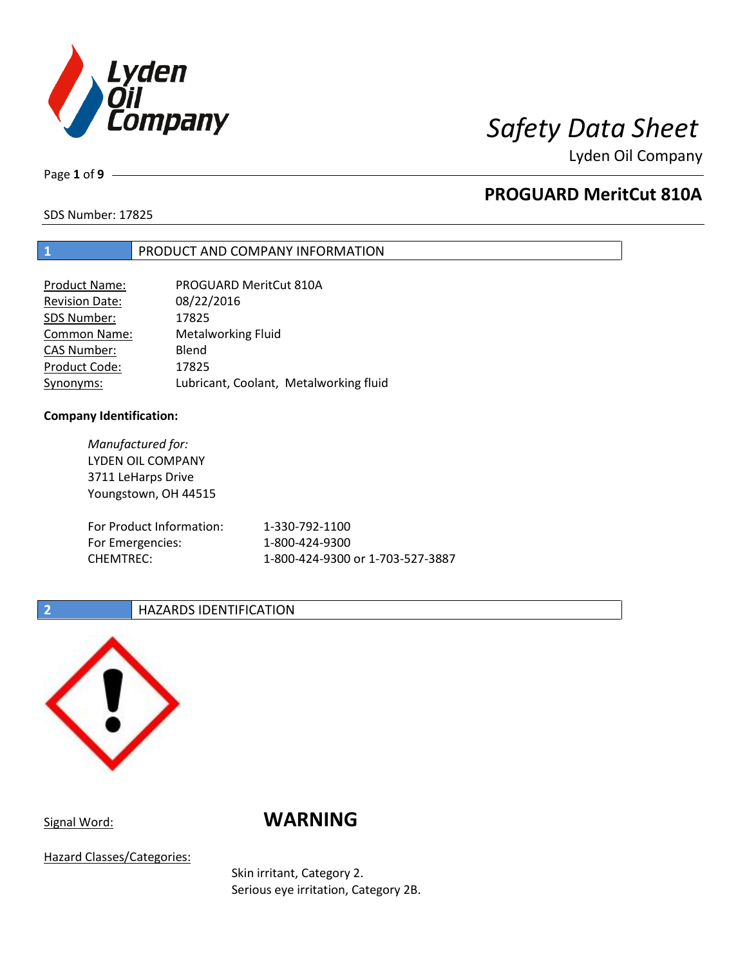

Page **1** of **9**

# **PROGUARD MeritCut 810A**

SDS Number: 17825

## **1** PRODUCT AND COMPANY INFORMATION

| <b>Product Name:</b>  | PROGUARD MeritCut 810A                 |
|-----------------------|----------------------------------------|
| <b>Revision Date:</b> | 08/22/2016                             |
| SDS Number:           | 17825                                  |
| <b>Common Name:</b>   | <b>Metalworking Fluid</b>              |
| <b>CAS Number:</b>    | Blend                                  |
| Product Code:         | 17825                                  |
| Synonyms:             | Lubricant, Coolant, Metalworking fluid |

### **Company Identification:**

*Manufactured for:* LYDEN OIL COMPANY 3711 LeHarps Drive Youngstown, OH 44515 For Product Information: 1-330-792-1100 For Emergencies: 1-800-424-9300 CHEMTREC: 1-800-424-9300 or 1-703-527-3887

## **2 HAZARDS IDENTIFICATION**



## Signal Word: **WARNING**

Hazard Classes/Categories:

Skin irritant, Category 2. Serious eye irritation, Category 2B.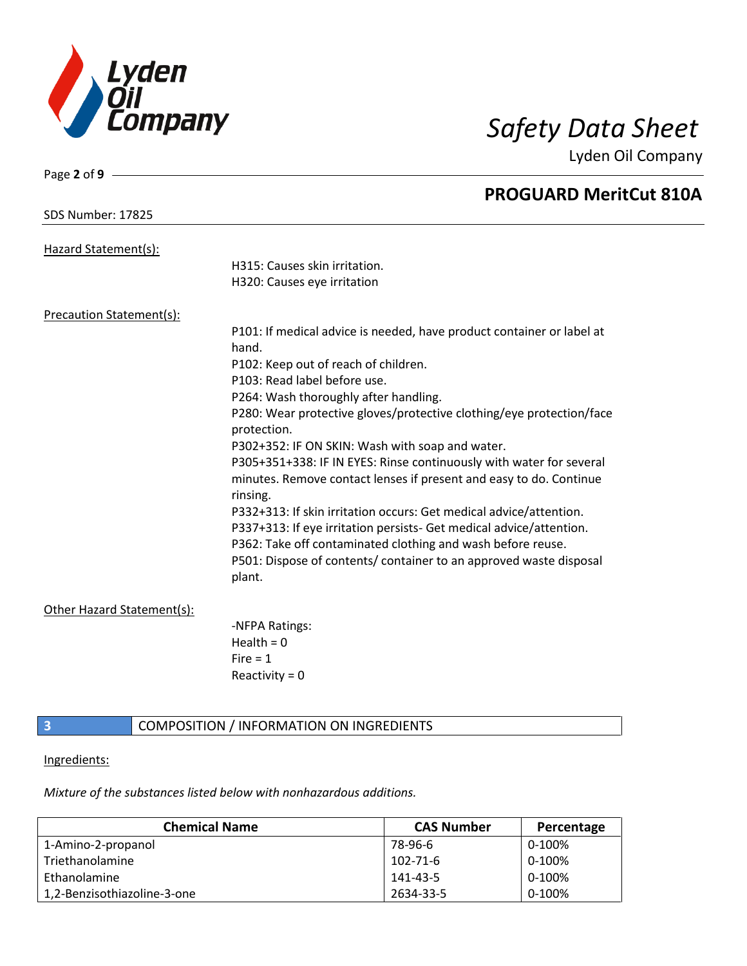

Page **2** of **9**

Lyden Oil Company

|                                 | <b>PROGUARD MeritCut 810A</b>                                                  |
|---------------------------------|--------------------------------------------------------------------------------|
| <b>SDS Number: 17825</b>        |                                                                                |
| Hazard Statement(s):            |                                                                                |
|                                 | H315: Causes skin irritation.                                                  |
|                                 | H320: Causes eye irritation                                                    |
| <b>Precaution Statement(s):</b> |                                                                                |
|                                 | P101: If medical advice is needed, have product container or label at<br>hand. |
|                                 | P102: Keep out of reach of children.                                           |
|                                 | P103: Read label before use.                                                   |
|                                 | P264: Wash thoroughly after handling.                                          |
|                                 | P280: Wear protective gloves/protective clothing/eye protection/face           |
|                                 | protection.                                                                    |
|                                 | P302+352: IF ON SKIN: Wash with soap and water.                                |
|                                 | P305+351+338: IF IN EYES: Rinse continuously with water for several            |
|                                 | minutes. Remove contact lenses if present and easy to do. Continue<br>rinsing. |
|                                 | P332+313: If skin irritation occurs: Get medical advice/attention.             |
|                                 | P337+313: If eye irritation persists- Get medical advice/attention.            |
|                                 | P362: Take off contaminated clothing and wash before reuse.                    |
|                                 | P501: Dispose of contents/ container to an approved waste disposal             |
|                                 | plant.                                                                         |
| Other Hazard Statement(s):      |                                                                                |
|                                 | -NFPA Ratings:                                                                 |
|                                 | Health = $0$                                                                   |
|                                 | Fire $= 1$                                                                     |
|                                 | Reactivity = $0$                                                               |
|                                 |                                                                                |

## **3 COMPOSITION** / INFORMATION ON INGREDIENTS

### Ingredients:

*Mixture of the substances listed below with nonhazardous additions.*

| <b>Chemical Name</b>        | <b>CAS Number</b> | Percentage |
|-----------------------------|-------------------|------------|
| 1-Amino-2-propanol          | 78-96-6           | 0-100%     |
| Triethanolamine             | $102 - 71 - 6$    | 0-100%     |
| Ethanolamine                | 141-43-5          | 0-100%     |
| 1,2-Benzisothiazoline-3-one | 2634-33-5         | $0-100%$   |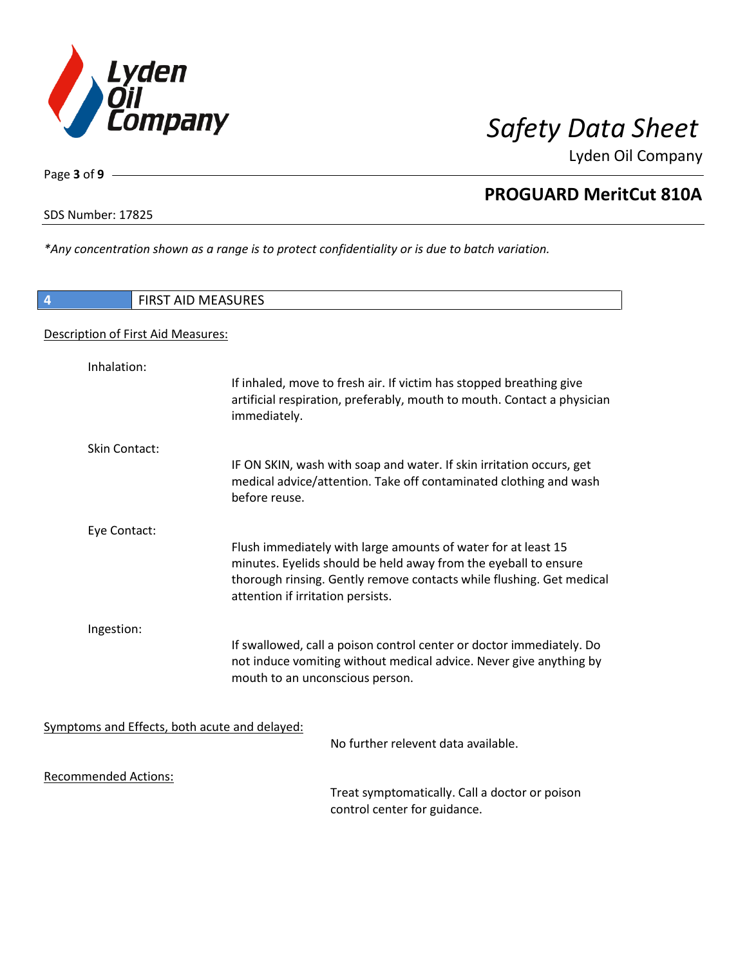

Page **3** of **9**

# **PROGUARD MeritCut 810A**

SDS Number: 17825

*\*Any concentration shown as a range is to protect confidentiality or is due to batch variation.*

| 4                           | <b>FIRST AID MEASURES</b>                                                                                                                                                                                                                     |
|-----------------------------|-----------------------------------------------------------------------------------------------------------------------------------------------------------------------------------------------------------------------------------------------|
|                             | Description of First Aid Measures:                                                                                                                                                                                                            |
| Inhalation:                 |                                                                                                                                                                                                                                               |
|                             | If inhaled, move to fresh air. If victim has stopped breathing give<br>artificial respiration, preferably, mouth to mouth. Contact a physician<br>immediately.                                                                                |
| Skin Contact:               |                                                                                                                                                                                                                                               |
|                             | IF ON SKIN, wash with soap and water. If skin irritation occurs, get<br>medical advice/attention. Take off contaminated clothing and wash<br>before reuse.                                                                                    |
| Eye Contact:                |                                                                                                                                                                                                                                               |
|                             | Flush immediately with large amounts of water for at least 15<br>minutes. Eyelids should be held away from the eyeball to ensure<br>thorough rinsing. Gently remove contacts while flushing. Get medical<br>attention if irritation persists. |
| Ingestion:                  |                                                                                                                                                                                                                                               |
|                             | If swallowed, call a poison control center or doctor immediately. Do<br>not induce vomiting without medical advice. Never give anything by<br>mouth to an unconscious person.                                                                 |
|                             | Symptoms and Effects, both acute and delayed:                                                                                                                                                                                                 |
|                             | No further relevent data available.                                                                                                                                                                                                           |
| <b>Recommended Actions:</b> | Treat symptomatically. Call a doctor or poison<br>control center for guidance.                                                                                                                                                                |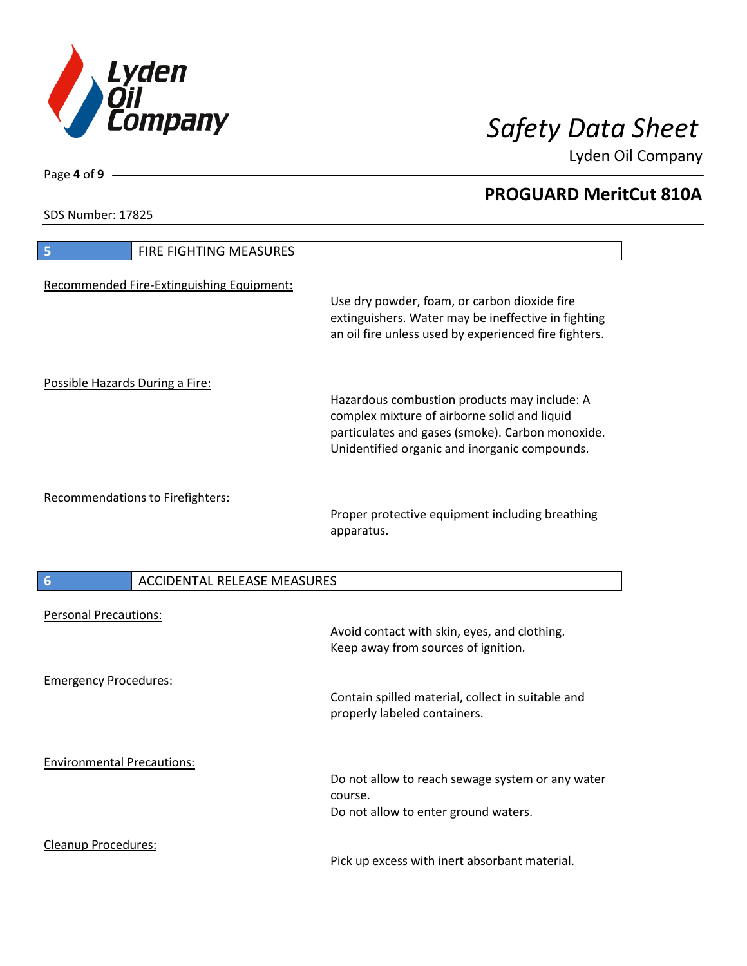

**PROGUARD MeritCut 810A**

Lyden Oil Company

SDS Number: 17825

| 5                                 | <b>FIRE FIGHTING MEASURES</b>             |                                                                                                                                                                                                   |
|-----------------------------------|-------------------------------------------|---------------------------------------------------------------------------------------------------------------------------------------------------------------------------------------------------|
|                                   | Recommended Fire-Extinguishing Equipment: | Use dry powder, foam, or carbon dioxide fire<br>extinguishers. Water may be ineffective in fighting<br>an oil fire unless used by experienced fire fighters.                                      |
| Possible Hazards During a Fire:   |                                           | Hazardous combustion products may include: A<br>complex mixture of airborne solid and liquid<br>particulates and gases (smoke). Carbon monoxide.<br>Unidentified organic and inorganic compounds. |
|                                   | <b>Recommendations to Firefighters:</b>   | Proper protective equipment including breathing<br>apparatus.                                                                                                                                     |
|                                   |                                           |                                                                                                                                                                                                   |
| 6                                 | <b>ACCIDENTAL RELEASE MEASURES</b>        |                                                                                                                                                                                                   |
| <b>Personal Precautions:</b>      |                                           | Avoid contact with skin, eyes, and clothing.<br>Keep away from sources of ignition.                                                                                                               |
| <b>Emergency Procedures:</b>      |                                           | Contain spilled material, collect in suitable and<br>properly labeled containers.                                                                                                                 |
| <b>Environmental Precautions:</b> |                                           | Do not allow to reach sewage system or any water<br>course.<br>Do not allow to enter ground waters.                                                                                               |

Page **4** of **9**

 $\mathbf l$ 

 $\overline{\phantom{a}}$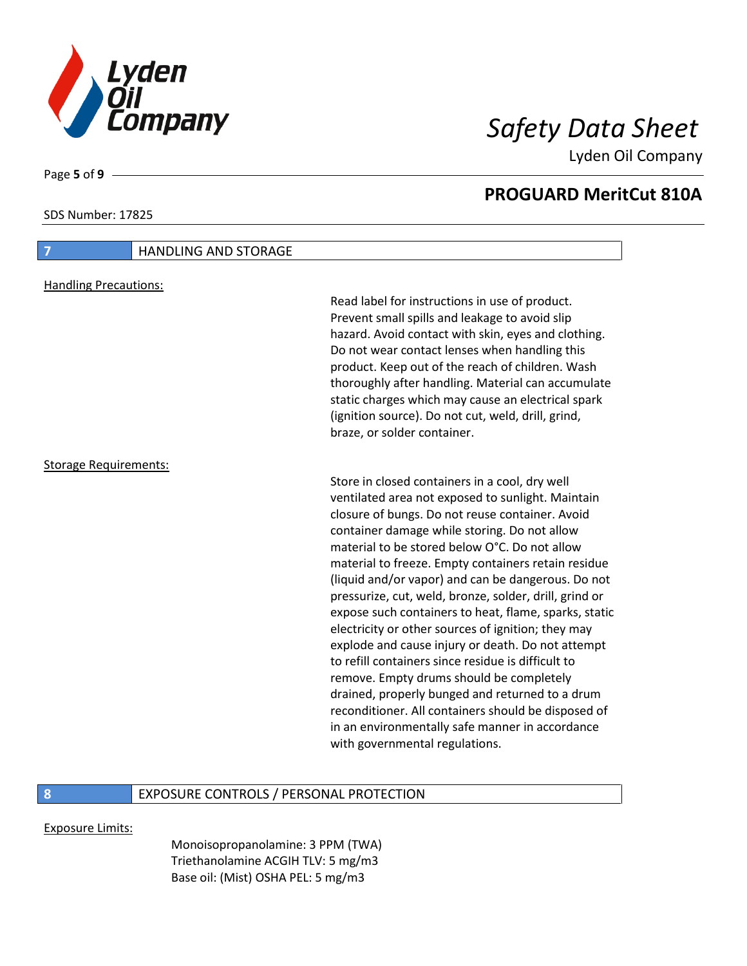

Page **5** of **9**

SDS Number: 17825

Lyden Oil Company

## **PROGUARD MeritCut 810A**

| $\overline{7}$<br><b>HANDLING AND STORAGE</b> |                                                                                                                                                                                                                                                                                                                                                                                                                                                                                                                                                                                                                                                                                                                                                                                                                                                                                                     |
|-----------------------------------------------|-----------------------------------------------------------------------------------------------------------------------------------------------------------------------------------------------------------------------------------------------------------------------------------------------------------------------------------------------------------------------------------------------------------------------------------------------------------------------------------------------------------------------------------------------------------------------------------------------------------------------------------------------------------------------------------------------------------------------------------------------------------------------------------------------------------------------------------------------------------------------------------------------------|
| <b>Handling Precautions:</b>                  | Read label for instructions in use of product.<br>Prevent small spills and leakage to avoid slip<br>hazard. Avoid contact with skin, eyes and clothing.<br>Do not wear contact lenses when handling this<br>product. Keep out of the reach of children. Wash<br>thoroughly after handling. Material can accumulate<br>static charges which may cause an electrical spark<br>(ignition source). Do not cut, weld, drill, grind,<br>braze, or solder container.                                                                                                                                                                                                                                                                                                                                                                                                                                       |
| <b>Storage Requirements:</b>                  | Store in closed containers in a cool, dry well<br>ventilated area not exposed to sunlight. Maintain<br>closure of bungs. Do not reuse container. Avoid<br>container damage while storing. Do not allow<br>material to be stored below O°C. Do not allow<br>material to freeze. Empty containers retain residue<br>(liquid and/or vapor) and can be dangerous. Do not<br>pressurize, cut, weld, bronze, solder, drill, grind or<br>expose such containers to heat, flame, sparks, static<br>electricity or other sources of ignition; they may<br>explode and cause injury or death. Do not attempt<br>to refill containers since residue is difficult to<br>remove. Empty drums should be completely<br>drained, properly bunged and returned to a drum<br>reconditioner. All containers should be disposed of<br>in an environmentally safe manner in accordance<br>with governmental regulations. |

## **8** EXPOSURE CONTROLS / PERSONAL PROTECTION

Exposure Limits:

Monoisopropanolamine: 3 PPM (TWA) Triethanolamine ACGIH TLV: 5 mg/m3 Base oil: (Mist) OSHA PEL: 5 mg/m3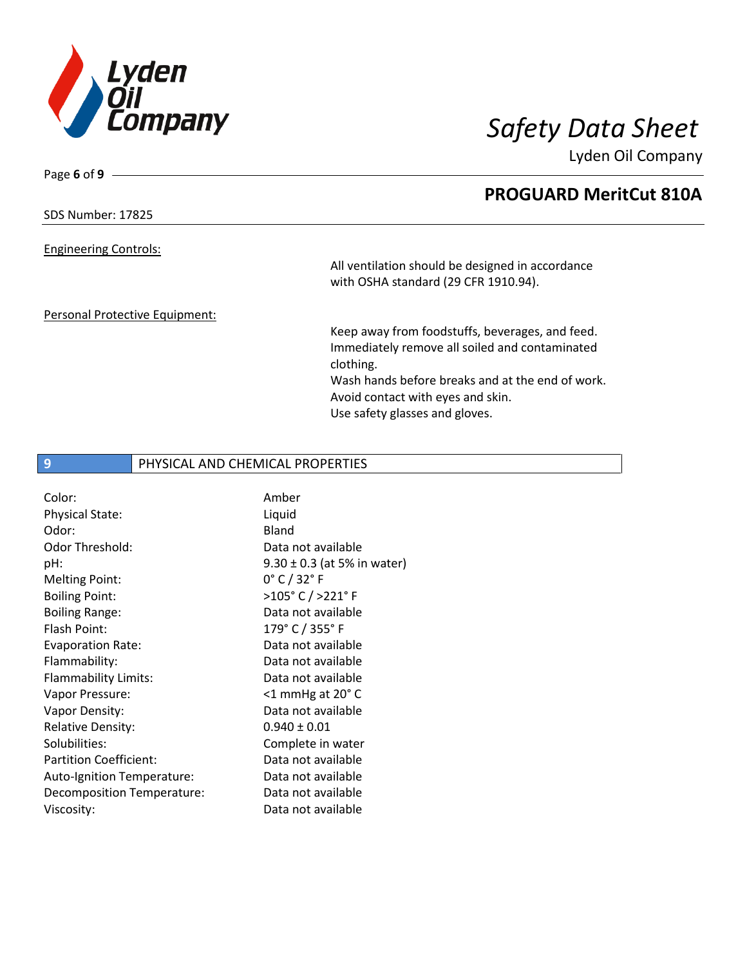

SDS Number: 17825

Page **6** of **9**

### Engineering Controls:

All ventilation should be designed in accordance with OSHA standard (29 CFR 1910.94).

### Personal Protective Equipment:

Keep away from foodstuffs, beverages, and feed. Immediately remove all soiled and contaminated clothing. Wash hands before breaks and at the end of work.

Avoid contact with eyes and skin. Use safety glasses and gloves.

## **9** PHYSICAL AND CHEMICAL PROPERTIES

| Color:                        | Amber                           |
|-------------------------------|---------------------------------|
| Physical State:               | Liquid                          |
| Odor:                         | <b>Bland</b>                    |
| Odor Threshold:               | Data not available              |
| pH:                           | $9.30 \pm 0.3$ (at 5% in water) |
| <b>Melting Point:</b>         | $0^{\circ}$ C / 32 $^{\circ}$ F |
| <b>Boiling Point:</b>         | >105°C/>221°F                   |
| <b>Boiling Range:</b>         | Data not available              |
| Flash Point:                  | 179° C / 355° F                 |
| <b>Evaporation Rate:</b>      | Data not available              |
| Flammability:                 | Data not available              |
| Flammability Limits:          | Data not available              |
| Vapor Pressure:               | $<$ 1 mmHg at 20 $^{\circ}$ C   |
| Vapor Density:                | Data not available              |
| <b>Relative Density:</b>      | $0.940 \pm 0.01$                |
| Solubilities:                 | Complete in water               |
| <b>Partition Coefficient:</b> | Data not available              |
| Auto-Ignition Temperature:    | Data not available              |
| Decomposition Temperature:    | Data not available              |
| Viscosity:                    | Data not available              |

# **PROGUARD MeritCut 810A**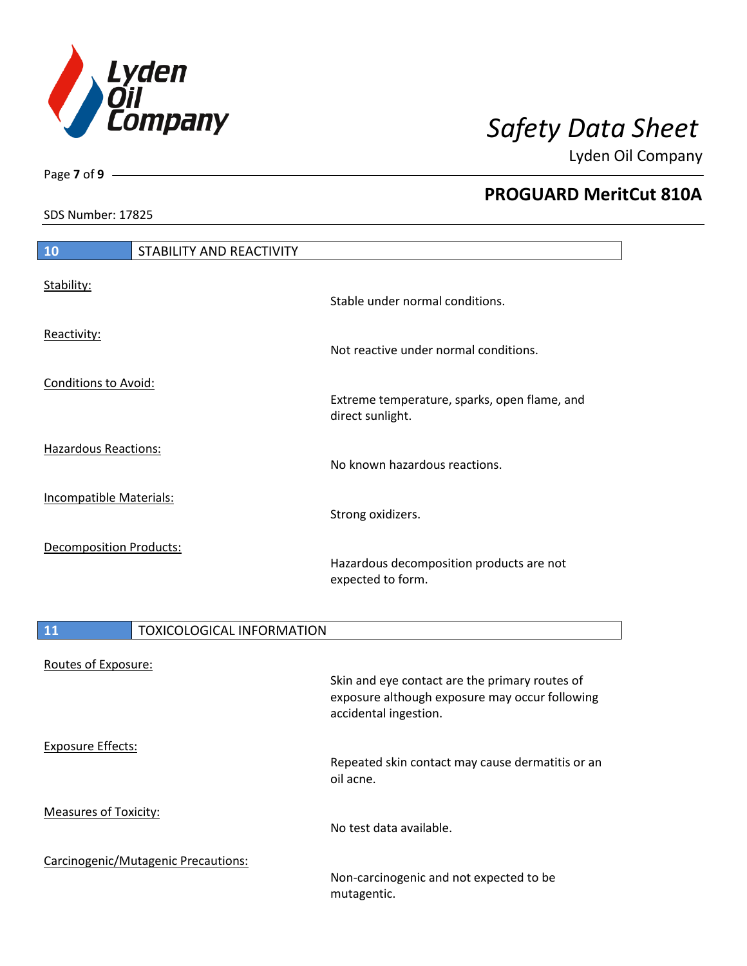

Page **7** of **9**

# **PROGUARD MeritCut 810A**

SDS Number: 17825

| 10                             | STABILITY AND REACTIVITY |                                                                  |
|--------------------------------|--------------------------|------------------------------------------------------------------|
| Stability:                     |                          | Stable under normal conditions.                                  |
| Reactivity:                    |                          | Not reactive under normal conditions.                            |
| <b>Conditions to Avoid:</b>    |                          | Extreme temperature, sparks, open flame, and<br>direct sunlight. |
| <b>Hazardous Reactions:</b>    |                          | No known hazardous reactions.                                    |
| Incompatible Materials:        |                          | Strong oxidizers.                                                |
| <b>Decomposition Products:</b> |                          | Hazardous decomposition products are not<br>expected to form.    |

| 11                           | <b>TOXICOLOGICAL INFORMATION</b>    |                                                                                                                           |
|------------------------------|-------------------------------------|---------------------------------------------------------------------------------------------------------------------------|
| Routes of Exposure:          |                                     | Skin and eye contact are the primary routes of<br>exposure although exposure may occur following<br>accidental ingestion. |
| <b>Exposure Effects:</b>     |                                     | Repeated skin contact may cause dermatitis or an<br>oil acne.                                                             |
| <b>Measures of Toxicity:</b> |                                     | No test data available.                                                                                                   |
|                              | Carcinogenic/Mutagenic Precautions: | Non-carcinogenic and not expected to be<br>mutagentic.                                                                    |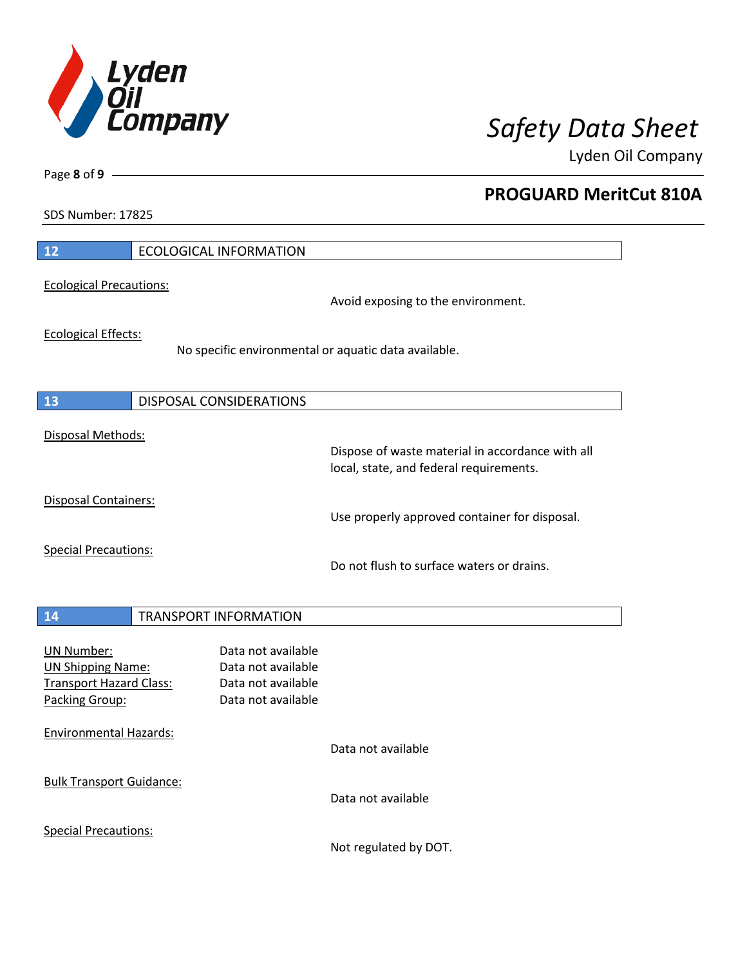

**PROGUARD MeritCut 810A**

Lyden Oil Company

SDS Number: 17825

Page **8** of **9**

| 12                                                                                                | <b>ECOLOGICAL INFORMATION</b>                                                               |
|---------------------------------------------------------------------------------------------------|---------------------------------------------------------------------------------------------|
| <b>Ecological Precautions:</b>                                                                    | Avoid exposing to the environment.                                                          |
| <b>Ecological Effects:</b>                                                                        | No specific environmental or aquatic data available.                                        |
| 13                                                                                                | DISPOSAL CONSIDERATIONS                                                                     |
| Disposal Methods:                                                                                 | Dispose of waste material in accordance with all<br>local, state, and federal requirements. |
| <b>Disposal Containers:</b>                                                                       | Use properly approved container for disposal.                                               |
| <b>Special Precautions:</b>                                                                       | Do not flush to surface waters or drains.                                                   |
| 14                                                                                                | <b>TRANSPORT INFORMATION</b>                                                                |
| <b>UN Number:</b><br><b>UN Shipping Name:</b><br><b>Transport Hazard Class:</b><br>Packing Group: | Data not available<br>Data not available<br>Data not available<br>Data not available        |
| <b>Environmental Hazards:</b>                                                                     | Data not available                                                                          |
| <b>Bulk Transport Guidance:</b>                                                                   | Data not available                                                                          |
| <b>Special Precautions:</b>                                                                       |                                                                                             |

Not regulated by DOT.